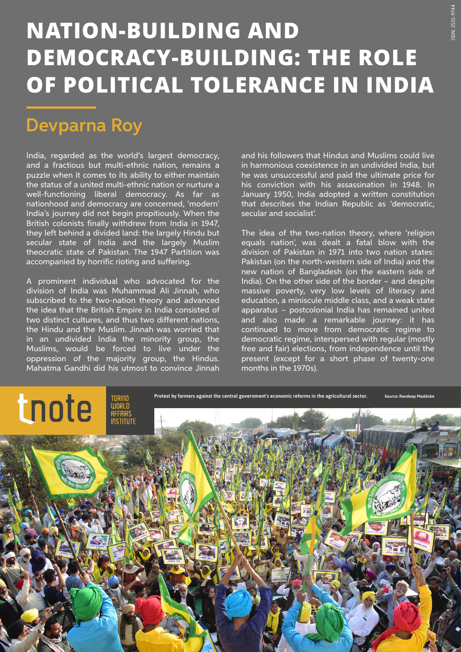## **NATION-BUILDING AND DEMOCRACY-BUILDING: THE ROLE OF POLITICAL TOLERANCE IN INDIA**

## Devparna Roy

India, regarded as the world's largest democracy, and a fractious but multi-ethnic nation, remains a puzzle when it comes to its ability to either maintain the status of a united multi-ethnic nation or nurture a well-functioning liberal democracy. As far as nationhood and democracy are concerned, 'modern' India's journey did not begin propitiously. When the British colonists finally withdrew from India in 1947, they left behind a divided land: the largely Hindu but secular state of India and the largely Muslim theocratic state of Pakistan. The 1947 Partition was accompanied by horrific rioting and suffering.

A prominent individual who advocated for the division of India was Muhammad Ali Jinnah, who subscribed to the two-nation theory and advanced the idea that the British Empire in India consisted of two distinct cultures, and thus two different nations, the Hindu and the Muslim. Jinnah was worried that in an undivided India the minority group, the Muslims, would be forced to live under the oppression of the majority group, the Hindus. Mahatma Gandhi did his utmost to convince Jinnah

and his followers that Hindus and Muslims could live in harmonious coexistence in an undivided India, but he was unsuccessful and paid the ultimate price for his conviction with his assassination in 1948. In January 1950, India adopted a written constitution that describes the Indian Republic as 'democratic, secular and socialist'.

The idea of the two-nation theory, where 'religion equals nation', was dealt a fatal blow with the division of Pakistan in 1971 into two nation states: Pakistan (on the north-western side of India) and the new nation of Bangladesh (on the eastern side of India). On the other side of the border – and despite massive poverty, very low levels of literacy and education, a miniscule middle class, and a weak state apparatus – postcolonial India has remained united and also made a remarkable journey: it has continued to move from democratic regime to democratic regime, interspersed with regular (mostly free and fair) elections, from independence until the present (except for a short phase of twenty-one months in the 1970s).